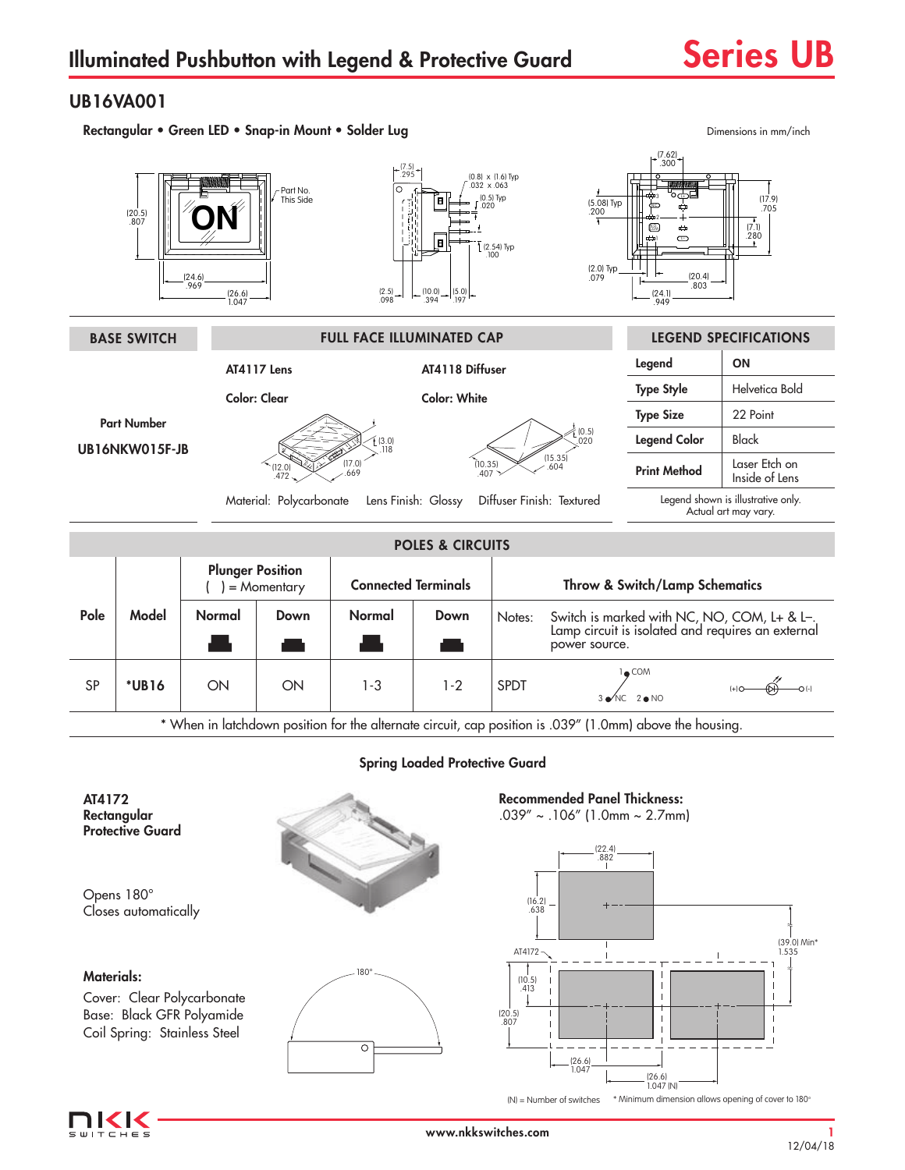# UB16VA001

Rectangular • Green LED • Snap-in Mount • Solder Lug Dimensions in mm/inch Dimensions in mm/inch



IKK  $T = F$  (N) = Number of switches

(26.6) 1.047

(26.6) 1.047 (N)

\* Minimum dimension allows opening of cover to 180°